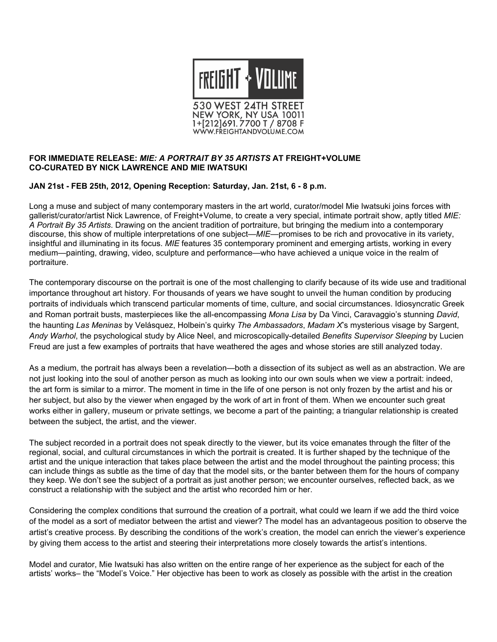

NEW YORK, NY USA 10011<br>1+[212]691.7700 T / 8708 F<br>www.freightandvolume.com

## **FOR IMMEDIATE RELEASE:** *MIE: A PORTRAIT BY 35 ARTISTS* **AT FREIGHT+VOLUME CO-CURATED BY NICK LAWRENCE AND MIE IWATSUKI**

## **JAN 21st - FEB 25th, 2012, Opening Reception: Saturday, Jan. 21st, 6 - 8 p.m.**

Long a muse and subject of many contemporary masters in the art world, curator/model Mie Iwatsuki joins forces with gallerist/curator/artist Nick Lawrence, of Freight+Volume, to create a very special, intimate portrait show, aptly titled *MIE: A Portrait By 35 Artists*. Drawing on the ancient tradition of portraiture, but bringing the medium into a contemporary discourse, this show of multiple interpretations of one subject—*MIE*—promises to be rich and provocative in its variety, insightful and illuminating in its focus. *MIE* features 35 contemporary prominent and emerging artists, working in every medium—painting, drawing, video, sculpture and performance—who have achieved a unique voice in the realm of portraiture.

The contemporary discourse on the portrait is one of the most challenging to clarify because of its wide use and traditional importance throughout art history. For thousands of years we have sought to unveil the human condition by producing portraits of individuals which transcend particular moments of time, culture, and social circumstances. Idiosyncratic Greek and Roman portrait busts, masterpieces like the all-encompassing *Mona Lisa* by Da Vinci, Caravaggio's stunning *David*, the haunting *Las Meninas* by Velásquez, Holbein's quirky *The Ambassadors*, *Madam X*'s mysterious visage by Sargent, *Andy Warhol*, the psychological study by Alice Neel, and microscopically-detailed *Benefits Supervisor Sleeping* by Lucien Freud are just a few examples of portraits that have weathered the ages and whose stories are still analyzed today.

As a medium, the portrait has always been a revelation—both a dissection of its subject as well as an abstraction. We are not just looking into the soul of another person as much as looking into our own souls when we view a portrait: indeed, the art form is similar to a mirror. The moment in time in the life of one person is not only frozen by the artist and his or her subject, but also by the viewer when engaged by the work of art in front of them. When we encounter such great works either in gallery, museum or private settings, we become a part of the painting; a triangular relationship is created between the subject, the artist, and the viewer.

The subject recorded in a portrait does not speak directly to the viewer, but its voice emanates through the filter of the regional, social, and cultural circumstances in which the portrait is created. It is further shaped by the technique of the artist and the unique interaction that takes place between the artist and the model throughout the painting process; this can include things as subtle as the time of day that the model sits, or the banter between them for the hours of company they keep. We don't see the subject of a portrait as just another person; we encounter ourselves, reflected back, as we construct a relationship with the subject and the artist who recorded him or her.

Considering the complex conditions that surround the creation of a portrait, what could we learn if we add the third voice of the model as a sort of mediator between the artist and viewer? The model has an advantageous position to observe the artist's creative process. By describing the conditions of the work's creation, the model can enrich the viewer's experience by giving them access to the artist and steering their interpretations more closely towards the artist's intentions.

Model and curator, Mie Iwatsuki has also written on the entire range of her experience as the subject for each of the artists' works– the "Model's Voice." Her objective has been to work as closely as possible with the artist in the creation